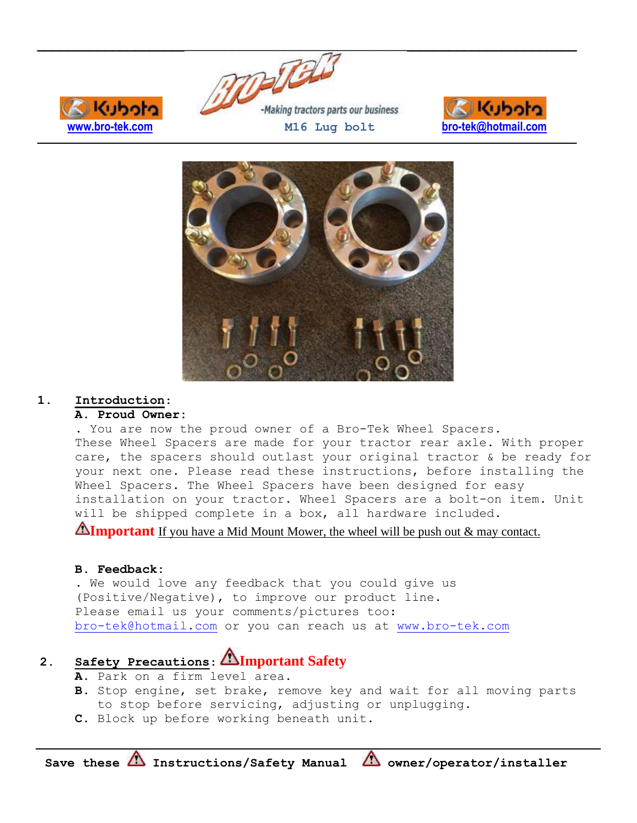





### **1. Introduction**:

#### **A. Proud Owner:**

Kuboto

. You are now the proud owner of a Bro-Tek Wheel Spacers. These Wheel Spacers are made for your tractor rear axle. With proper care, the spacers should outlast your original tractor & be ready for your next one. Please read these instructions, before installing the Wheel Spacers. The Wheel Spacers have been designed for easy installation on your tractor. Wheel Spacers are a bolt-on item. Unit will be shipped complete in a box, all hardware included.

**Important** If you have a Mid Mount Mower, the wheel will be push out & may contact.

#### **B. Feedback:**

. We would love any feedback that you could give us (Positive/Negative), to improve our product line. Please email us your comments/pictures too: [bro-tek@hotmail.com](mailto:bro-tek@hotmail.com) or you can reach us at [www.bro-tek.com](http://www.bro-tek.com/)

# **2. Safety Precautions**: **Important Safety**

- **A.** Park on a firm level area.
- **B.** Stop engine, set brake, remove key and wait for all moving parts to stop before servicing, adjusting or unplugging.
- **C.** Block up before working beneath unit.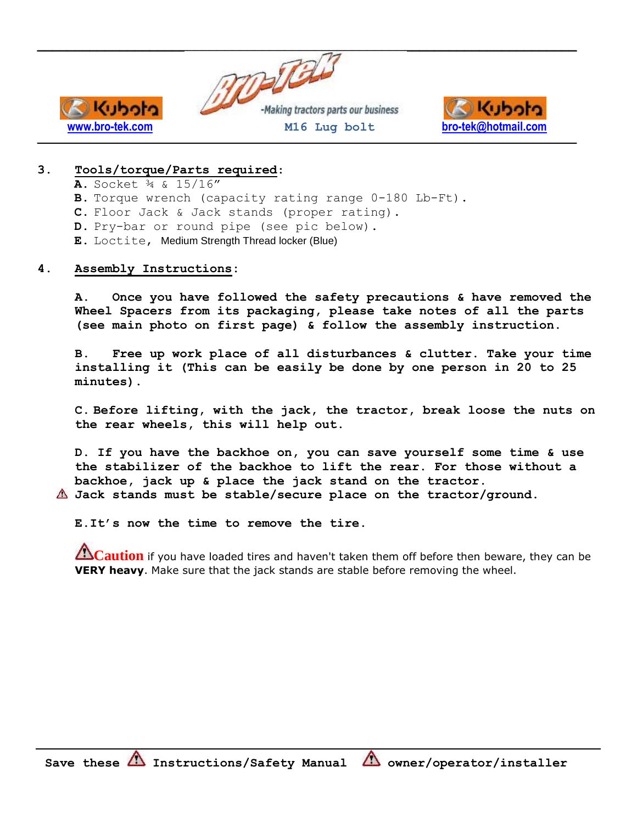



## **3. Tools/torque/Parts required**:

- **A.** Socket ¾ & 15/16"
- **B.** Torque wrench (capacity rating range 0-180 Lb-Ft).
- **C.** Floor Jack & Jack stands (proper rating).
- **D.** Pry-bar or round pipe (see pic below).
- **E.** Loctite, Medium Strength Thread locker (Blue)

#### **4. Assembly Instructions:**

**A. Once you have followed the safety precautions & have removed the Wheel Spacers from its packaging, please take notes of all the parts (see main photo on first page) & follow the assembly instruction.**

**B. Free up work place of all disturbances & clutter. Take your time installing it (This can be easily be done by one person in 20 to 25 minutes).**

**C. Before lifting, with the jack, the tractor, break loose the nuts on the rear wheels, this will help out.**

**D. If you have the backhoe on, you can save yourself some time & use the stabilizer of the backhoe to lift the rear. For those without a backhoe, jack up & place the jack stand on the tractor.**

**Jack stands must be stable/secure place on the tractor/ground.**

**E.It's now the time to remove the tire.**

**Caution** if you have loaded tires and haven't taken them off before then beware, they can be **VERY heavy**. Make sure that the jack stands are stable before removing the wheel.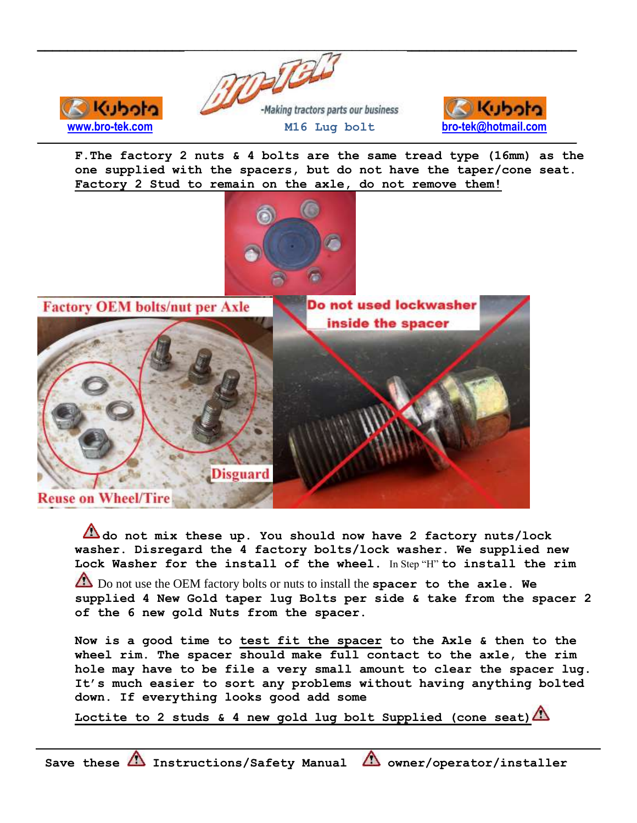



**F.The factory 2 nuts & 4 bolts are the same tread type (16mm) as the one supplied with the spacers, but do not have the taper/cone seat. Factory 2 Stud to remain on the axle, do not remove them!**



**Factory OEM bolts/nut per Axle** 

**Codull** 



**do not mix these up. You should now have 2 factory nuts/lock washer. Disregard the 4 factory bolts/lock washer. We supplied new Lock Washer for the install of the wheel.** In Step "H" **to install the rim** Do not use the OEM factory bolts or nuts to install the **spacer to the axle. We supplied 4 New Gold taper lug Bolts per side & take from the spacer 2 of the 6 new gold Nuts from the spacer.** 

**Now is a good time to test fit the spacer to the Axle & then to the wheel rim. The spacer should make full contact to the axle, the rim hole may have to be file a very small amount to clear the spacer lug. It's much easier to sort any problems without having anything bolted down. If everything looks good add some** 

**Loctite to 2 studs & 4 new gold lug bolt Supplied (cone seat)**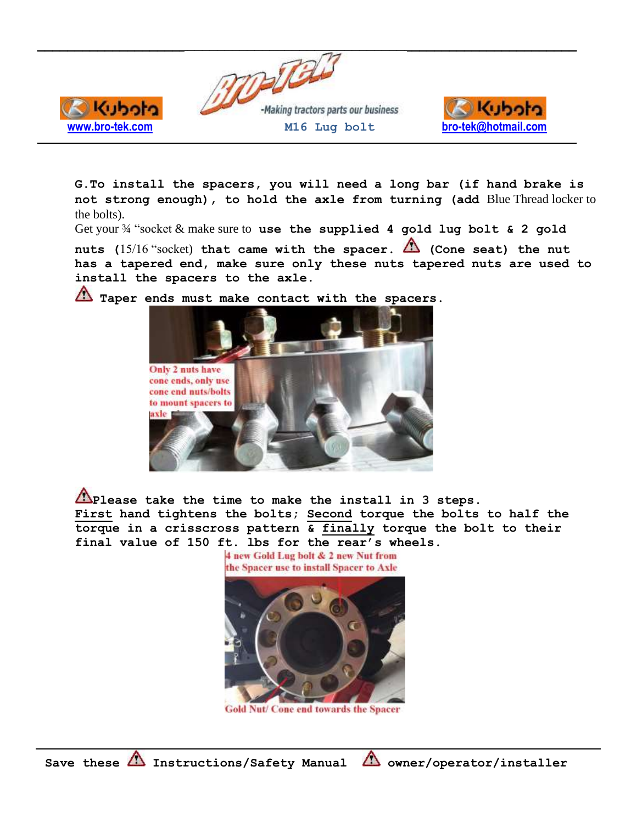



**G.To install the spacers, you will need a long bar (if hand brake is not strong enough), to hold the axle from turning (add** Blue Thread locker to the bolts).

Get your ¾ "socket & make sure to **use the supplied 4 gold lug bolt & 2 gold** 

nuts (15/16 "socket) that came with the spacer. **(A)** (Cone seat) the nut **has a tapered end, make sure only these nuts tapered nuts are used to install the spacers to the axle.**



**Taper ends must make contact with the spacers.**

Kuboto

**Please take the time to make the install in 3 steps. First hand tightens the bolts; Second torque the bolts to half the torque in a crisscross pattern & finally torque the bolt to their final value of 150 ft. lbs for the rear's wheels.**

the Spacer use to install Spacer to Axle

4 new Gold Lug bolt & 2 new Nut from

**Gold Nut/ Cone end towards the Spacer**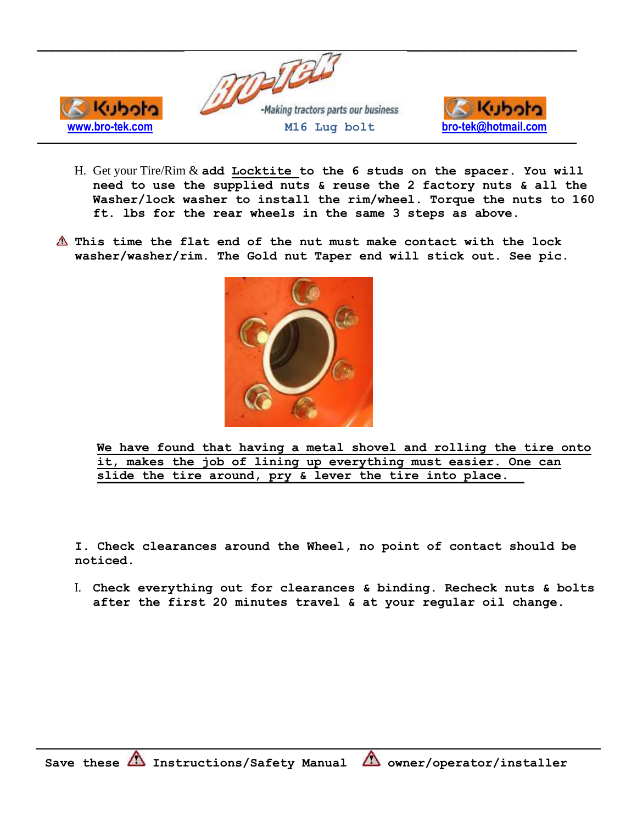

- H. Get your Tire/Rim & **add Locktite to the 6 studs on the spacer. You will need to use the supplied nuts & reuse the 2 factory nuts & all the Washer/lock washer to install the rim/wheel. Torque the nuts to 160 ft. lbs for the rear wheels in the same 3 steps as above.**
- **This time the flat end of the nut must make contact with the lock washer/washer/rim. The Gold nut Taper end will stick out. See pic.**



**We have found that having a metal shovel and rolling the tire onto it, makes the job of lining up everything must easier. One can slide the tire around, pry & lever the tire into place.**

**I. Check clearances around the Wheel, no point of contact should be noticed.** 

I. **Check everything out for clearances & binding. Recheck nuts & bolts after the first 20 minutes travel & at your regular oil change.**